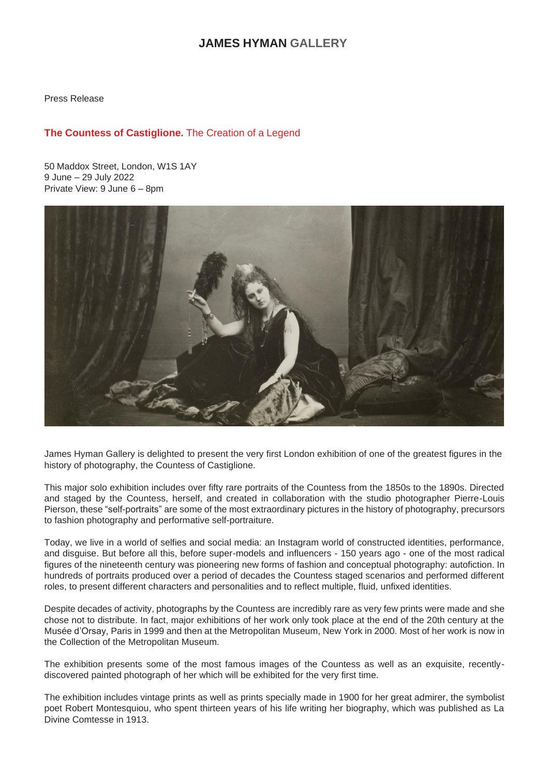# **JAMES HYMAN GALLERY**

Press Release

## **The Countess of Castiglione.** The Creation of a Legend

50 Maddox Street, London, W1S 1AY 9 June – 29 July 2022 Private View: 9 June 6 – 8pm



James Hyman Gallery is delighted to present the very first London exhibition of one of the greatest figures in the history of photography, the Countess of Castiglione.

This major solo exhibition includes over fifty rare portraits of the Countess from the 1850s to the 1890s. Directed and staged by the Countess, herself, and created in collaboration with the studio photographer Pierre-Louis Pierson, these "self-portraits" are some of the most extraordinary pictures in the history of photography, precursors to fashion photography and performative self-portraiture.

Today, we live in a world of selfies and social media: an Instagram world of constructed identities, performance, and disguise. But before all this, before super-models and influencers - 150 years ago - one of the most radical figures of the nineteenth century was pioneering new forms of fashion and conceptual photography: autofiction. In hundreds of portraits produced over a period of decades the Countess staged scenarios and performed different roles, to present different characters and personalities and to reflect multiple, fluid, unfixed identities.

Despite decades of activity, photographs by the Countess are incredibly rare as very few prints were made and she chose not to distribute. In fact, major exhibitions of her work only took place at the end of the 20th century at the Musée d'Orsay, Paris in 1999 and then at the Metropolitan Museum, New York in 2000. Most of her work is now in the Collection of the Metropolitan Museum.

The exhibition presents some of the most famous images of the Countess as well as an exquisite, recentlydiscovered painted photograph of her which will be exhibited for the very first time.

The exhibition includes vintage prints as well as prints specially made in 1900 for her great admirer, the symbolist poet Robert Montesquiou, who spent thirteen years of his life writing her biography, which was published as La Divine Comtesse in 1913.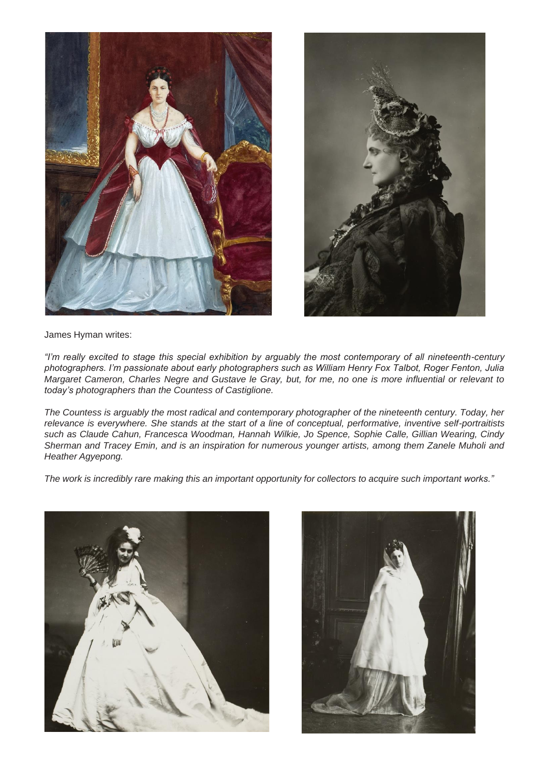



James Hyman writes:

*"I'm really excited to stage this special exhibition by arguably the most contemporary of all nineteenth-century photographers. I'm passionate about early photographers such as William Henry Fox Talbot, Roger Fenton, Julia Margaret Cameron, Charles Negre and Gustave le Gray, but, for me, no one is more influential or relevant to today's photographers than the Countess of Castiglione.*

*The Countess is arguably the most radical and contemporary photographer of the nineteenth century. Today, her relevance is everywhere. She stands at the start of a line of conceptual, performative, inventive self-portraitists such as Claude Cahun, Francesca Woodman, Hannah Wilkie, Jo Spence, Sophie Calle, Gillian Wearing, Cindy Sherman and Tracey Emin, and is an inspiration for numerous younger artists, among them Zanele Muholi and Heather Agyepong.*

The work is incredibly rare making this an important opportunity for collectors to acquire such important works."